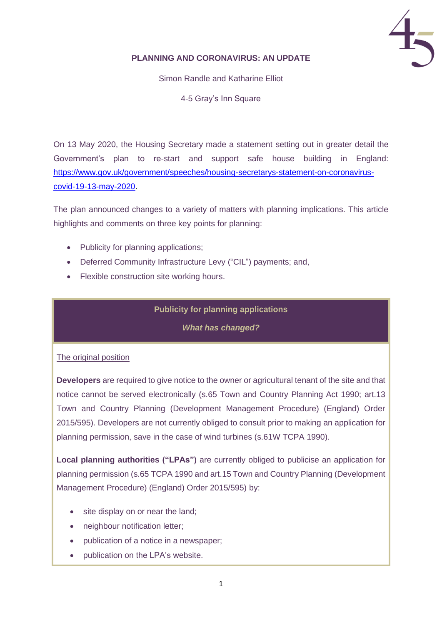

## **PLANNING AND CORONAVIRUS: AN UPDATE**

Simon Randle and Katharine Elliot

4-5 Gray's Inn Square

On 13 May 2020, the Housing Secretary made a statement setting out in greater detail the Government's plan to re-start and support safe house building in England: [https://www.gov.uk/government/speeches/housing-secretarys-statement-on-coronavirus](https://www.gov.uk/government/speeches/housing-secretarys-statement-on-coronavirus-covid-19-13-may-2020)[covid-19-13-may-2020.](https://www.gov.uk/government/speeches/housing-secretarys-statement-on-coronavirus-covid-19-13-may-2020)

The plan announced changes to a variety of matters with planning implications. This article highlights and comments on three key points for planning:

- Publicity for planning applications;
- Deferred Community Infrastructure Levy ("CIL") payments; and,
- Flexible construction site working hours.

# **Publicity for planning applications**

*What has changed?*

## The original position

**Developers** are required to give notice to the owner or agricultural tenant of the site and that notice cannot be served electronically (s.65 Town and Country Planning Act 1990; art.13 Town and Country Planning (Development Management Procedure) (England) Order 2015/595). Developers are not currently obliged to consult prior to making an application for planning permission, save in the case of wind turbines (s.61W TCPA 1990).

**Local planning authorities ("LPAs")** are currently obliged to publicise an application for planning permission (s.65 TCPA 1990 and art.15 Town and Country Planning (Development Management Procedure) (England) Order 2015/595) by:

- site display on or near the land;
- neighbour notification letter;
- publication of a notice in a newspaper;
- publication on the LPA's website.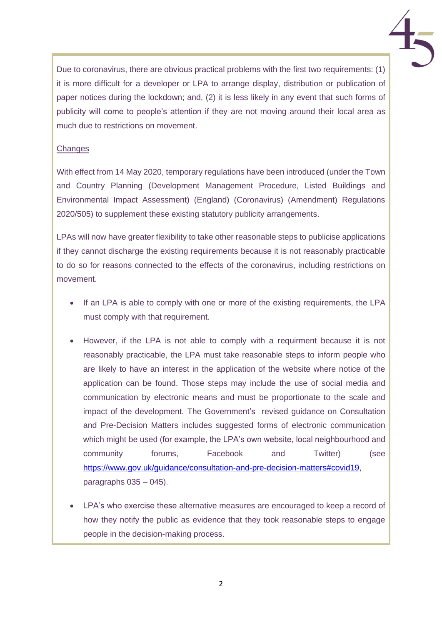

Due to coronavirus, there are obvious practical problems with the first two requirements: (1) it is more difficult for a developer or LPA to arrange display, distribution or publication of paper notices during the lockdown; and, (2) it is less likely in any event that such forms of publicity will come to people's attention if they are not moving around their local area as much due to restrictions on movement.

## **Changes**

With effect from 14 May 2020, temporary regulations have been introduced (under the Town and Country Planning (Development Management Procedure, Listed Buildings and Environmental Impact Assessment) (England) (Coronavirus) (Amendment) Regulations 2020/505) to supplement these existing statutory publicity arrangements.

LPAs will now have greater flexibility to take other reasonable steps to publicise applications if they cannot discharge the existing requirements because it is not reasonably practicable to do so for reasons connected to the effects of the coronavirus, including restrictions on movement.

- If an LPA is able to comply with one or more of the existing requirements, the LPA must comply with that requirement.
- However, if the LPA is not able to comply with a requirment because it is not reasonably practicable, the LPA must take reasonable steps to inform people who are likely to have an interest in the application of the website where notice of the application can be found. Those steps may include the use of social media and communication by electronic means and must be proportionate to the scale and impact of the development. The Government's revised guidance on Consultation and Pre-Decision Matters includes suggested forms of electronic communication which might be used (for example, the LPA's own website, local neighbourhood and community forums, Facebook and Twitter) (see [https://www.gov.uk/guidance/consultation-and-pre-decision-matters#covid19,](https://www.gov.uk/guidance/consultation-and-pre-decision-matters#covid19) paragraphs  $035 - 045$ ).
- LPA's who exercise these alternative measures are encouraged to keep a record of how they notify the public as evidence that they took reasonable steps to engage people in the decision-making process.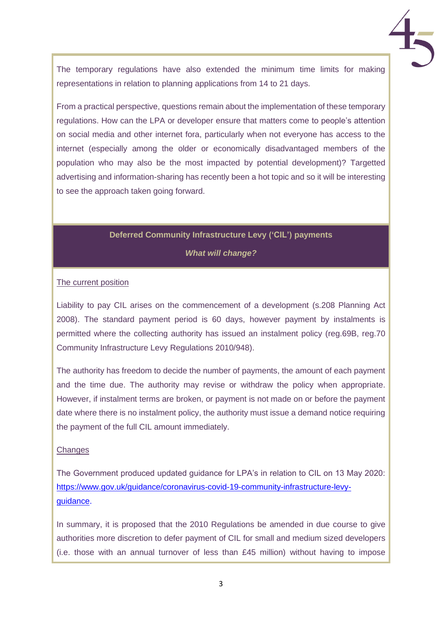The temporary regulations have also extended the minimum time limits for making representations in relation to planning applications from 14 to 21 days.

From a practical perspective, questions remain about the implementation of these temporary regulations. How can the LPA or developer ensure that matters come to people's attention on social media and other internet fora, particularly when not everyone has access to the internet (especially among the older or economically disadvantaged members of the population who may also be the most impacted by potential development)? Targetted advertising and information-sharing has recently been a hot topic and so it will be interesting to see the approach taken going forward.

# **Deferred Community Infrastructure Levy ('CIL') payments**

*What will change?*

### The current position

Liability to pay CIL arises on the commencement of a development (s.208 Planning Act 2008). The standard payment period is 60 days, however payment by instalments is permitted where the collecting authority has issued an instalment policy (reg.69B, reg.70 Community Infrastructure Levy Regulations 2010/948).

The authority has freedom to decide the number of payments, the amount of each payment and the time due. The authority may revise or withdraw the policy when appropriate. However, if instalment terms are broken, or payment is not made on or before the payment date where there is no instalment policy, the authority must issue a demand notice requiring the payment of the full CIL amount immediately.

#### **Changes**

The Government produced updated guidance for LPA's in relation to CIL on 13 May 2020: [https://www.gov.uk/guidance/coronavirus-covid-19-community-infrastructure-levy](https://www.gov.uk/guidance/coronavirus-covid-19-community-infrastructure-levy-guidance)[guidance.](https://www.gov.uk/guidance/coronavirus-covid-19-community-infrastructure-levy-guidance)

In summary, it is proposed that the 2010 Regulations be amended in due course to give authorities more discretion to defer payment of CIL for small and medium sized developers (i.e. those with an annual turnover of less than  $£45$  million) without having to impose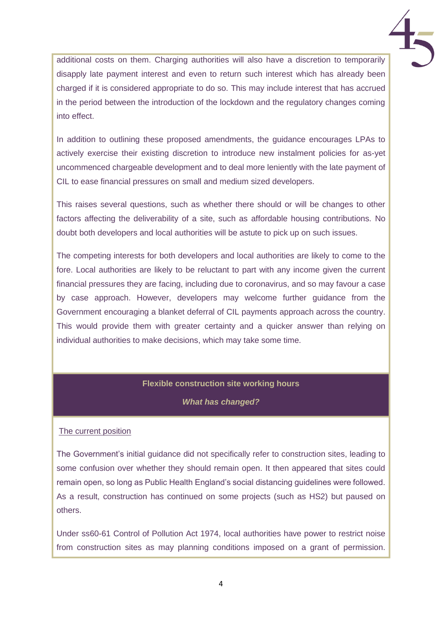additional costs on them. Charging authorities will also have a discretion to temporarily disapply late payment interest and even to return such interest which has already been charged if it is considered appropriate to do so. This may include interest that has accrued in the period between the introduction of the lockdown and the regulatory changes coming into effect.

In addition to outlining these proposed amendments, the guidance encourages LPAs to actively exercise their existing discretion to introduce new instalment policies for as-yet uncommenced chargeable development and to deal more leniently with the late payment of CIL to ease financial pressures on small and medium sized developers.

This raises several questions, such as whether there should or will be changes to other factors affecting the deliverability of a site, such as affordable housing contributions. No doubt both developers and local authorities will be astute to pick up on such issues.

The competing interests for both developers and local authorities are likely to come to the fore. Local authorities are likely to be reluctant to part with any income given the current financial pressures they are facing, including due to coronavirus, and so may favour a case by case approach. However, developers may welcome further guidance from the Government encouraging a blanket deferral of CIL payments approach across the country. This would provide them with greater certainty and a quicker answer than relying on individual authorities to make decisions, which may take some time.

## **Flexible construction site working hours**

#### *What has changed?*

#### The current position

The Government's initial guidance did not specifically refer to construction sites, leading to some confusion over whether they should remain open. It then appeared that sites could remain open, so long as Public Health England's social distancing guidelines were followed. As a result, construction has continued on some projects (such as HS2) but paused on others.

Under ss60-61 Control of Pollution Act 1974, local authorities have power to restrict noise from construction sites as may planning conditions imposed on a grant of permission.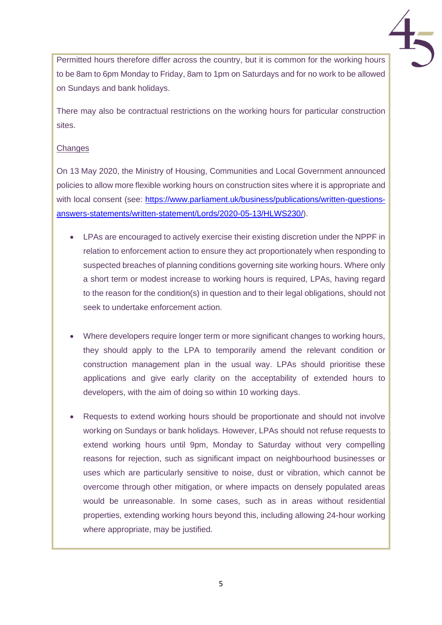Permitted hours therefore differ across the country, but it is common for the working hours to be 8am to 6pm Monday to Friday, 8am to 1pm on Saturdays and for no work to be allowed on Sundays and bank holidays.

There may also be contractual restrictions on the working hours for particular construction sites.

## **Changes**

On 13 May 2020, the Ministry of Housing, Communities and Local Government announced policies to allow more flexible working hours on construction sites where it is appropriate and with local consent (see: [https://www.parliament.uk/business/publications/written-questions](https://www.parliament.uk/business/publications/written-questions-answers-statements/written-statement/Lords/2020-05-13/HLWS230/)[answers-statements/written-statement/Lords/2020-05-13/HLWS230/\)](https://www.parliament.uk/business/publications/written-questions-answers-statements/written-statement/Lords/2020-05-13/HLWS230/).

- LPAs are encouraged to actively exercise their existing discretion under the NPPF in relation to enforcement action to ensure they act proportionately when responding to suspected breaches of planning conditions governing site working hours. Where only a short term or modest increase to working hours is required, LPAs, having regard to the reason for the condition(s) in question and to their legal obligations, should not seek to undertake enforcement action.
- Where developers require longer term or more significant changes to working hours, they should apply to the LPA to temporarily amend the relevant condition or construction management plan in the usual way. LPAs should prioritise these applications and give early clarity on the acceptability of extended hours to developers, with the aim of doing so within 10 working days.
- Requests to extend working hours should be proportionate and should not involve working on Sundays or bank holidays. However, LPAs should not refuse requests to extend working hours until 9pm, Monday to Saturday without very compelling reasons for rejection, such as significant impact on neighbourhood businesses or uses which are particularly sensitive to noise, dust or vibration, which cannot be overcome through other mitigation, or where impacts on densely populated areas would be unreasonable. In some cases, such as in areas without residential properties, extending working hours beyond this, including allowing 24-hour working where appropriate, may be justified.